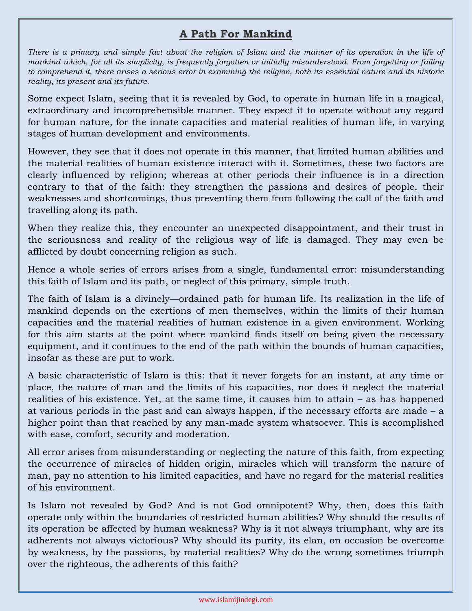## **A Path For Mankind**

*There is a primary and simple fact about the religion of Islam and the manner of its operation in the life of mankind which, for all its simplicity, is frequently forgotten or initially misunderstood. From forgetting or failing to comprehend it, there arises a serious error in examining the religion, both its essential nature and its historic reality, its present and its future.*

Some expect Islam, seeing that it is revealed by God, to operate in human life in a magical, extraordinary and incomprehensible manner. They expect it to operate without any regard for human nature, for the innate capacities and material realities of human life, in varying stages of human development and environments.

However, they see that it does not operate in this manner, that limited human abilities and the material realities of human existence interact with it. Sometimes, these two factors are clearly influenced by religion; whereas at other periods their influence is in a direction contrary to that of the faith: they strengthen the passions and desires of people, their weaknesses and shortcomings, thus preventing them from following the call of the faith and travelling along its path.

When they realize this, they encounter an unexpected disappointment, and their trust in the seriousness and reality of the religious way of life is damaged. They may even be afflicted by doubt concerning religion as such.

Hence a whole series of errors arises from a single, fundamental error: misunderstanding this faith of Islam and its path, or neglect of this primary, simple truth.

The faith of Islam is a divinely—ordained path for human life. Its realization in the life of mankind depends on the exertions of men themselves, within the limits of their human capacities and the material realities of human existence in a given environment. Working for this aim starts at the point where mankind finds itself on being given the necessary equipment, and it continues to the end of the path within the bounds of human capacities, insofar as these are put to work.

A basic characteristic of Islam is this: that it never forgets for an instant, at any time or place, the nature of man and the limits of his capacities, nor does it neglect the material realities of his existence. Yet, at the same time, it causes him to attain – as has happened at various periods in the past and can always happen, if the necessary efforts are made – a higher point than that reached by any man-made system whatsoever. This is accomplished with ease, comfort, security and moderation.

All error arises from misunderstanding or neglecting the nature of this faith, from expecting the occurrence of miracles of hidden origin, miracles which will transform the nature of man, pay no attention to his limited capacities, and have no regard for the material realities of his environment.

Is Islam not revealed by God? And is not God omnipotent? Why, then, does this faith operate only within the boundaries of restricted human abilities? Why should the results of its operation be affected by human weakness? Why is it not always triumphant, why are its adherents not always victorious? Why should its purity, its elan, on occasion be overcome by weakness, by the passions, by material realities? Why do the wrong sometimes triumph over the righteous, the adherents of this faith?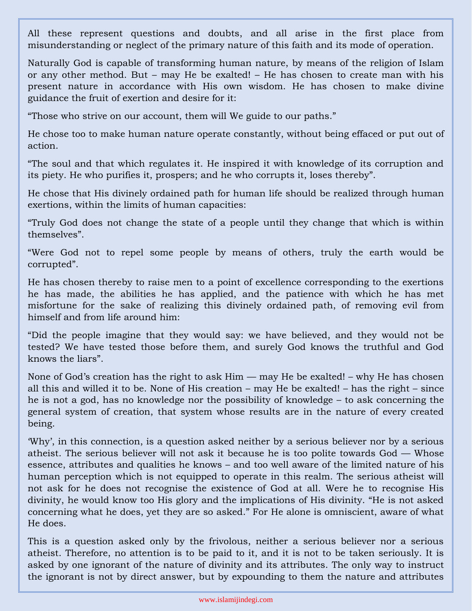All these represent questions and doubts, and all arise in the first place from misunderstanding or neglect of the primary nature of this faith and its mode of operation.

Naturally God is capable of transforming human nature, by means of the religion of Islam or any other method. But – may He be exalted! – He has chosen to create man with his present nature in accordance with His own wisdom. He has chosen to make divine guidance the fruit of exertion and desire for it:

"Those who strive on our account, them will We guide to our paths."

He chose too to make human nature operate constantly, without being effaced or put out of action.

"The soul and that which regulates it. He inspired it with knowledge of its corruption and its piety. He who purifies it, prospers; and he who corrupts it, loses thereby".

He chose that His divinely ordained path for human life should be realized through human exertions, within the limits of human capacities:

"Truly God does not change the state of a people until they change that which is within themselves".

"Were God not to repel some people by means of others, truly the earth would be corrupted".

He has chosen thereby to raise men to a point of excellence corresponding to the exertions he has made, the abilities he has applied, and the patience with which he has met misfortune for the sake of realizing this divinely ordained path, of removing evil from himself and from life around him:

"Did the people imagine that they would say: we have believed, and they would not be tested? We have tested those before them, and surely God knows the truthful and God knows the liars".

None of God's creation has the right to ask Him — may He be exalted! – why He has chosen all this and willed it to be. None of His creation – may He be exalted! – has the right – since he is not a god, has no knowledge nor the possibility of knowledge – to ask concerning the general system of creation, that system whose results are in the nature of every created being.

'Why', in this connection, is a question asked neither by a serious believer nor by a serious atheist. The serious believer will not ask it because he is too polite towards God — Whose essence, attributes and qualities he knows – and too well aware of the limited nature of his human perception which is not equipped to operate in this realm. The serious atheist will not ask for he does not recognise the existence of God at all. Were he to recognise His divinity, he would know too His glory and the implications of His divinity. "He is not asked concerning what he does, yet they are so asked." For He alone is omniscient, aware of what He does.

This is a question asked only by the frivolous, neither a serious believer nor a serious atheist. Therefore, no attention is to be paid to it, and it is not to be taken seriously. It is asked by one ignorant of the nature of divinity and its attributes. The only way to instruct the ignorant is not by direct answer, but by expounding to them the nature and attributes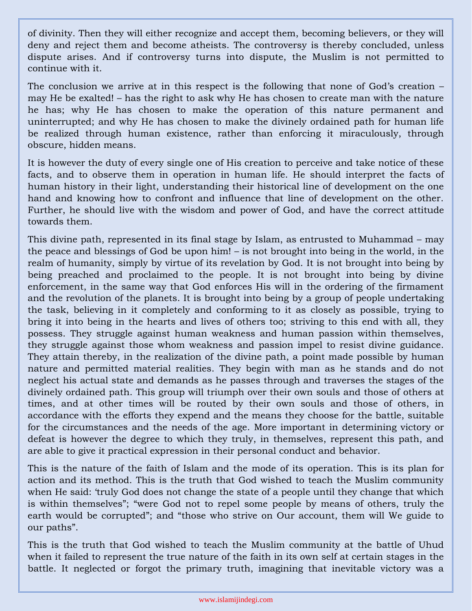of divinity. Then they will either recognize and accept them, becoming believers, or they will deny and reject them and become atheists. The controversy is thereby concluded, unless dispute arises. And if controversy turns into dispute, the Muslim is not permitted to continue with it.

The conclusion we arrive at in this respect is the following that none of God's creation – may He be exalted! – has the right to ask why He has chosen to create man with the nature he has; why He has chosen to make the operation of this nature permanent and uninterrupted; and why He has chosen to make the divinely ordained path for human life be realized through human existence, rather than enforcing it miraculously, through obscure, hidden means.

It is however the duty of every single one of His creation to perceive and take notice of these facts, and to observe them in operation in human life. He should interpret the facts of human history in their light, understanding their historical line of development on the one hand and knowing how to confront and influence that line of development on the other. Further, he should live with the wisdom and power of God, and have the correct attitude towards them.

This divine path, represented in its final stage by Islam, as entrusted to Muhammad – may the peace and blessings of God be upon him! – is not brought into being in the world, in the realm of humanity, simply by virtue of its revelation by God. It is not brought into being by being preached and proclaimed to the people. It is not brought into being by divine enforcement, in the same way that God enforces His will in the ordering of the firmament and the revolution of the planets. It is brought into being by a group of people undertaking the task, believing in it completely and conforming to it as closely as possible, trying to bring it into being in the hearts and lives of others too; striving to this end with all, they possess. They struggle against human weakness and human passion within themselves, they struggle against those whom weakness and passion impel to resist divine guidance. They attain thereby, in the realization of the divine path, a point made possible by human nature and permitted material realities. They begin with man as he stands and do not neglect his actual state and demands as he passes through and traverses the stages of the divinely ordained path. This group will triumph over their own souls and those of others at times, and at other times will be routed by their own souls and those of others, in accordance with the efforts they expend and the means they choose for the battle, suitable for the circumstances and the needs of the age. More important in determining victory or defeat is however the degree to which they truly, in themselves, represent this path, and are able to give it practical expression in their personal conduct and behavior.

This is the nature of the faith of Islam and the mode of its operation. This is its plan for action and its method. This is the truth that God wished to teach the Muslim community when He said: 'truly God does not change the state of a people until they change that which is within themselves"; "were God not to repel some people by means of others, truly the earth would be corrupted"; and "those who strive on Our account, them will We guide to our paths".

This is the truth that God wished to teach the Muslim community at the battle of Uhud when it failed to represent the true nature of the faith in its own self at certain stages in the battle. It neglected or forgot the primary truth, imagining that inevitable victory was a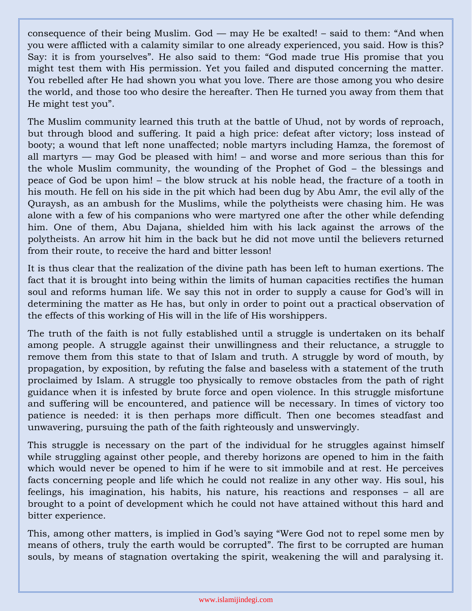consequence of their being Muslim. God — may He be exalted! – said to them: "And when you were afflicted with a calamity similar to one already experienced, you said. How is this? Say: it is from yourselves". He also said to them: "God made true His promise that you might test them with His permission. Yet you failed and disputed concerning the matter. You rebelled after He had shown you what you love. There are those among you who desire the world, and those too who desire the hereafter. Then He turned you away from them that He might test you".

The Muslim community learned this truth at the battle of Uhud, not by words of reproach, but through blood and suffering. It paid a high price: defeat after victory; loss instead of booty; a wound that left none unaffected; noble martyrs including Hamza, the foremost of all martyrs — may God be pleased with him! – and worse and more serious than this for the whole Muslim community, the wounding of the Prophet of God – the blessings and peace of God be upon him! – the blow struck at his noble head, the fracture of a tooth in his mouth. He fell on his side in the pit which had been dug by Abu Amr, the evil ally of the Quraysh, as an ambush for the Muslims, while the polytheists were chasing him. He was alone with a few of his companions who were martyred one after the other while defending him. One of them, Abu Dajana, shielded him with his lack against the arrows of the polytheists. An arrow hit him in the back but he did not move until the believers returned from their route, to receive the hard and bitter lesson!

It is thus clear that the realization of the divine path has been left to human exertions. The fact that it is brought into being within the limits of human capacities rectifies the human soul and reforms human life. We say this not in order to supply a cause for God's will in determining the matter as He has, but only in order to point out a practical observation of the effects of this working of His will in the life of His worshippers.

The truth of the faith is not fully established until a struggle is undertaken on its behalf among people. A struggle against their unwillingness and their reluctance, a struggle to remove them from this state to that of Islam and truth. A struggle by word of mouth, by propagation, by exposition, by refuting the false and baseless with a statement of the truth proclaimed by Islam. A struggle too physically to remove obstacles from the path of right guidance when it is infested by brute force and open violence. In this struggle misfortune and suffering will be encountered, and patience will be necessary. In times of victory too patience is needed: it is then perhaps more difficult. Then one becomes steadfast and unwavering, pursuing the path of the faith righteously and unswervingly.

This struggle is necessary on the part of the individual for he struggles against himself while struggling against other people, and thereby horizons are opened to him in the faith which would never be opened to him if he were to sit immobile and at rest. He perceives facts concerning people and life which he could not realize in any other way. His soul, his feelings, his imagination, his habits, his nature, his reactions and responses – all are brought to a point of development which he could not have attained without this hard and bitter experience.

This, among other matters, is implied in God's saying "Were God not to repel some men by means of others, truly the earth would be corrupted". The first to be corrupted are human souls, by means of stagnation overtaking the spirit, weakening the will and paralysing it.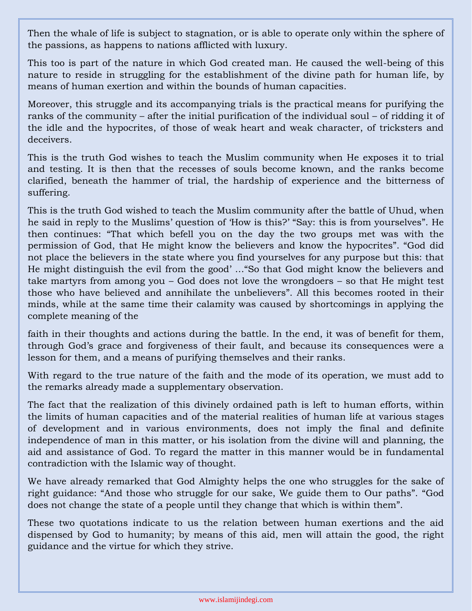Then the whale of life is subject to stagnation, or is able to operate only within the sphere of the passions, as happens to nations afflicted with luxury.

This too is part of the nature in which God created man. He caused the well-being of this nature to reside in struggling for the establishment of the divine path for human life, by means of human exertion and within the bounds of human capacities.

Moreover, this struggle and its accompanying trials is the practical means for purifying the ranks of the community – after the initial purification of the individual soul – of ridding it of the idle and the hypocrites, of those of weak heart and weak character, of tricksters and deceivers.

This is the truth God wishes to teach the Muslim community when He exposes it to trial and testing. It is then that the recesses of souls become known, and the ranks become clarified, beneath the hammer of trial, the hardship of experience and the bitterness of suffering.

This is the truth God wished to teach the Muslim community after the battle of Uhud, when he said in reply to the Muslims' question of 'How is this?' "Say: this is from yourselves". He then continues: "That which befell you on the day the two groups met was with the permission of God, that He might know the believers and know the hypocrites". "God did not place the believers in the state where you find yourselves for any purpose but this: that He might distinguish the evil from the good' …"So that God might know the believers and take martyrs from among you – God does not love the wrongdoers – so that He might test those who have believed and annihilate the unbelievers". All this becomes rooted in their minds, while at the same time their calamity was caused by shortcomings in applying the complete meaning of the

faith in their thoughts and actions during the battle. In the end, it was of benefit for them, through God's grace and forgiveness of their fault, and because its consequences were a lesson for them, and a means of purifying themselves and their ranks.

With regard to the true nature of the faith and the mode of its operation, we must add to the remarks already made a supplementary observation.

The fact that the realization of this divinely ordained path is left to human efforts, within the limits of human capacities and of the material realities of human life at various stages of development and in various environments, does not imply the final and definite independence of man in this matter, or his isolation from the divine will and planning, the aid and assistance of God. To regard the matter in this manner would be in fundamental contradiction with the Islamic way of thought.

We have already remarked that God Almighty helps the one who struggles for the sake of right guidance: "And those who struggle for our sake, We guide them to Our paths". "God does not change the state of a people until they change that which is within them".

These two quotations indicate to us the relation between human exertions and the aid dispensed by God to humanity; by means of this aid, men will attain the good, the right guidance and the virtue for which they strive.